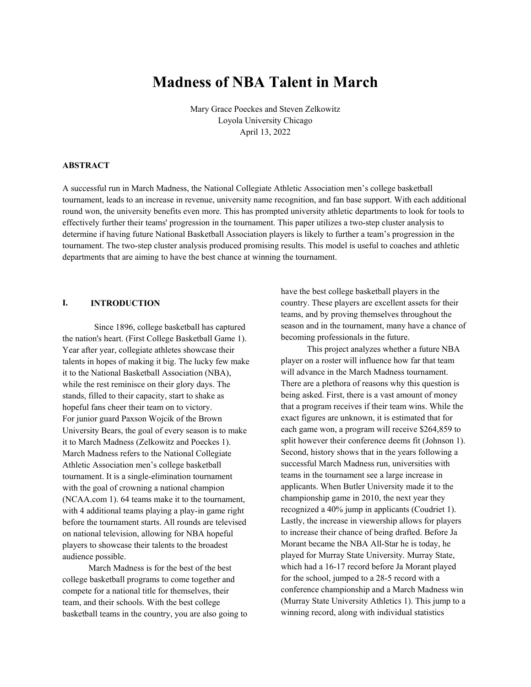# **Madness of NBA Talent in March**

Mary Grace Poeckes and Steven Zelkowitz Loyola University Chicago April 13, 2022

#### **ABSTRACT**

A successful run in March Madness, the National Collegiate Athletic Association men's college basketball tournament, leads to an increase in revenue, university name recognition, and fan base support. With each additional round won, the university benefits even more. This has prompted university athletic departments to look for tools to effectively further their teams' progression in the tournament. This paper utilizes a two-step cluster analysis to determine if having future National Basketball Association players is likely to further a team's progression in the tournament. The two-step cluster analysis produced promising results. This model is useful to coaches and athletic departments that are aiming to have the best chance at winning the tournament.

# **I. INTRODUCTION**

 Since 1896, college basketball has captured the nation's heart. (First College Basketball Game 1). Year after year, collegiate athletes showcase their talents in hopes of making it big. The lucky few make it to the National Basketball Association (NBA), while the rest reminisce on their glory days. The stands, filled to their capacity, start to shake as hopeful fans cheer their team on to victory. For junior guard Paxson Wojcik of the Brown University Bears, the goal of every season is to make it to March Madness (Zelkowitz and Poeckes 1). March Madness refers to the National Collegiate Athletic Association men's college basketball tournament. It is a single-elimination tournament with the goal of crowning a national champion (NCAA.com 1). 64 teams make it to the tournament, with 4 additional teams playing a play-in game right before the tournament starts. All rounds are televised on national television, allowing for NBA hopeful players to showcase their talents to the broadest audience possible.

 March Madness is for the best of the best college basketball programs to come together and compete for a national title for themselves, their team, and their schools. With the best college basketball teams in the country, you are also going to have the best college basketball players in the country. These players are excellent assets for their teams, and by proving themselves throughout the season and in the tournament, many have a chance of becoming professionals in the future.

 This project analyzes whether a future NBA player on a roster will influence how far that team will advance in the March Madness tournament. There are a plethora of reasons why this question is being asked. First, there is a vast amount of money that a program receives if their team wins. While the exact figures are unknown, it is estimated that for each game won, a program will receive \$264,859 to split however their conference deems fit (Johnson 1). Second, history shows that in the years following a successful March Madness run, universities with teams in the tournament see a large increase in applicants. When Butler University made it to the championship game in 2010, the next year they recognized a 40% jump in applicants (Coudriet 1). Lastly, the increase in viewership allows for players to increase their chance of being drafted. Before Ja Morant became the NBA All-Star he is today, he played for Murray State University. Murray State, which had a 16-17 record before Ja Morant played for the school, jumped to a 28-5 record with a conference championship and a March Madness win (Murray State University Athletics 1). This jump to a winning record, along with individual statistics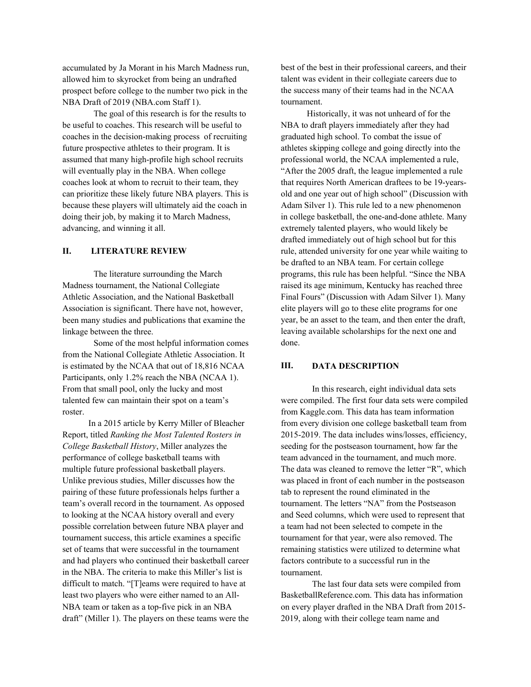accumulated by Ja Morant in his March Madness run, allowed him to skyrocket from being an undrafted prospect before college to the number two pick in the NBA Draft of 2019 (NBA.com Staff 1).

The goal of this research is for the results to be useful to coaches. This research will be useful to coaches in the decision-making process of recruiting future prospective athletes to their program. It is assumed that many high-profile high school recruits will eventually play in the NBA. When college coaches look at whom to recruit to their team, they can prioritize these likely future NBA players. This is because these players will ultimately aid the coach in doing their job, by making it to March Madness, advancing, and winning it all.

# **II. LITERATURE REVIEW**

The literature surrounding the March Madness tournament, the National Collegiate Athletic Association, and the National Basketball Association is significant. There have not, however, been many studies and publications that examine the linkage between the three.

Some of the most helpful information comes from the National Collegiate Athletic Association. It is estimated by the NCAA that out of 18,816 NCAA Participants, only 1.2% reach the NBA (NCAA 1). From that small pool, only the lucky and most talented few can maintain their spot on a team's roster.

 In a 2015 article by Kerry Miller of Bleacher Report, titled *Ranking the Most Talented Rosters in College Basketball History*, Miller analyzes the performance of college basketball teams with multiple future professional basketball players. Unlike previous studies, Miller discusses how the pairing of these future professionals helps further a team's overall record in the tournament. As opposed to looking at the NCAA history overall and every possible correlation between future NBA player and tournament success, this article examines a specific set of teams that were successful in the tournament and had players who continued their basketball career in the NBA. The criteria to make this Miller's list is difficult to match. "[T]eams were required to have at least two players who were either named to an All-NBA team or taken as a top-five pick in an NBA draft" (Miller 1). The players on these teams were the

best of the best in their professional careers, and their talent was evident in their collegiate careers due to the success many of their teams had in the NCAA tournament.

 Historically, it was not unheard of for the NBA to draft players immediately after they had graduated high school. To combat the issue of athletes skipping college and going directly into the professional world, the NCAA implemented a rule, "After the 2005 draft, the league implemented a rule that requires North American draftees to be 19-yearsold and one year out of high school" (Discussion with Adam Silver 1). This rule led to a new phenomenon in college basketball, the one-and-done athlete. Many extremely talented players, who would likely be drafted immediately out of high school but for this rule, attended university for one year while waiting to be drafted to an NBA team. For certain college programs, this rule has been helpful. "Since the NBA raised its age minimum, Kentucky has reached three Final Fours" (Discussion with Adam Silver 1). Many elite players will go to these elite programs for one year, be an asset to the team, and then enter the draft, leaving available scholarships for the next one and done.

#### **III. DATA DESCRIPTION**

In this research, eight individual data sets were compiled. The first four data sets were compiled from Kaggle.com. This data has team information from every division one college basketball team from 2015-2019. The data includes wins/losses, efficiency, seeding for the postseason tournament, how far the team advanced in the tournament, and much more. The data was cleaned to remove the letter "R", which was placed in front of each number in the postseason tab to represent the round eliminated in the tournament. The letters "NA" from the Postseason and Seed columns, which were used to represent that a team had not been selected to compete in the tournament for that year, were also removed. The remaining statistics were utilized to determine what factors contribute to a successful run in the tournament.

The last four data sets were compiled from BasketballReference.com. This data has information on every player drafted in the NBA Draft from 2015- 2019, along with their college team name and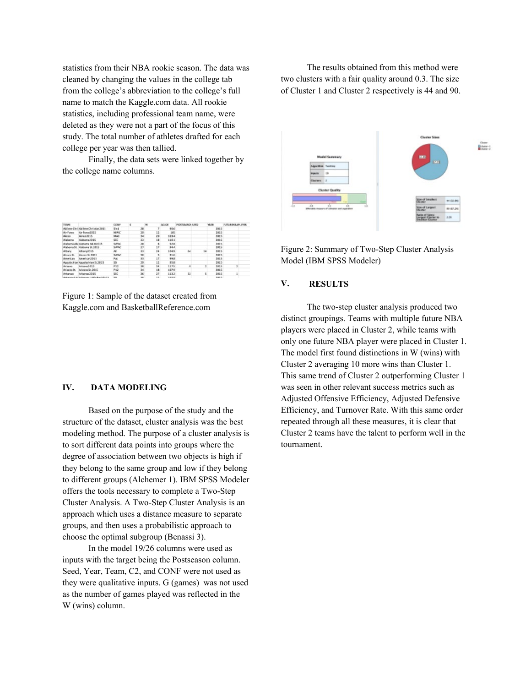statistics from their NBA rookie season. The data was cleaned by changing the values in the college tab from the college's abbreviation to the college's full name to match the Kaggle.com data. All rookie statistics, including professional team name, were deleted as they were not a part of the focus of this study. The total number of athletes drafted for each college per year was then tallied.

 Finally, the data sets were linked together by the college name columns.

| <b>TEAM</b>         |                                              | <b>CONF</b>        | n |            | w   | <b>MIXOR</b>     | POUTLEANON SEED. | YEAR. |             | FUTURENGAPLAYER |  |
|---------------------|----------------------------------------------|--------------------|---|------------|-----|------------------|------------------|-------|-------------|-----------------|--|
| <b>Abileso Chri</b> | Abilees Christian2015                        | 944                |   | 38         |     | 92.6             |                  |       | Jais        |                 |  |
| Air Force           | Air Force2015                                | MAIC               |   | 25         | 12  | 105              |                  |       | 2015        |                 |  |
| <b>Baran</b>        | <b>Barga 2015</b>                            | MAC.               |   | 34         | 32  | 109.4            |                  |       | 2015        |                 |  |
| <b>Alabama</b>      | Alabama2015                                  | SGC                |   | 33         | 18  | 138.1            |                  |       | 2015        |                 |  |
|                     | Alabama AB, Alabama AB M2015                 | <b>SWAC</b>        |   | 28         | ٠   | <b>92.8</b>      |                  |       | 2015        |                 |  |
|                     | Alabama St. Alabama St.2015                  | <b><i>YWNC</i></b> |   | 22         | 13  | 94.4             |                  |       | 2015        |                 |  |
| Albany              | Albany2015                                   | A£                 |   | 33         | 24  | 104.9            | 64               | 14    | 2015        |                 |  |
| Alcorn St.          | Alcorn St. 2015                              | <b>SWAC</b>        |   | 30         |     | 51.6             |                  |       | 3315        |                 |  |
| American            | American/2015                                | Pat:               |   | it it      | 13  | 99.8             |                  |       | 2015        |                 |  |
| Assolachian         | Appalachian St 2015                          | 53                 |   | 25         | 12  | \$5.B            |                  |       | 2015        |                 |  |
| Arizona             | Arizona2015                                  | P12                |   | 38         | 34  | 117.5            | ×                | z     | 3915        |                 |  |
| Arizona St.         | Arizona St. 2015                             | P13                |   | 34         | 18  | 187.8            |                  |       | 3915        |                 |  |
| Arkansas            | Arkansas2015                                 | SEC.               |   | 36         | 22  | 113.2            | 32               | 5     | 2015        |                 |  |
|                     | Advanced LIST Advanced LIST to Book \$500.50 | <b>SH</b>          |   | <b>SEC</b> | 7.7 | <b>SER &amp;</b> |                  |       | <b>NOTE</b> |                 |  |

Figure 1: Sample of the dataset created from Kaggle.com and BasketballReference.com

#### **IV. DATA MODELING**

Based on the purpose of the study and the structure of the dataset, cluster analysis was the best modeling method. The purpose of a cluster analysis is to sort different data points into groups where the degree of association between two objects is high if they belong to the same group and low if they belong to different groups (Alchemer 1). IBM SPSS Modeler offers the tools necessary to complete a Two-Step Cluster Analysis. A Two-Step Cluster Analysis is an approach which uses a distance measure to separate groups, and then uses a probabilistic approach to choose the optimal subgroup (Benassi 3).

 In the model 19/26 columns were used as inputs with the target being the Postseason column. Seed, Year, Team, C2, and CONF were not used as they were qualitative inputs. G (games) was not used as the number of games played was reflected in the W (wins) column.

 The results obtained from this method were two clusters with a fair quality around 0.3. The size of Cluster 1 and Cluster 2 respectively is 44 and 90.



Figure 2: Summary of Two-Step Cluster Analysis Model (IBM SPSS Modeler)

#### **V. RESULTS**

The two-step cluster analysis produced two distinct groupings. Teams with multiple future NBA players were placed in Cluster 2, while teams with only one future NBA player were placed in Cluster 1. The model first found distinctions in W (wins) with Cluster 2 averaging 10 more wins than Cluster 1. This same trend of Cluster 2 outperforming Cluster 1 was seen in other relevant success metrics such as Adjusted Offensive Efficiency, Adjusted Defensive Efficiency, and Turnover Rate. With this same order repeated through all these measures, it is clear that Cluster 2 teams have the talent to perform well in the tournament.

Guess :<br>Bobine : :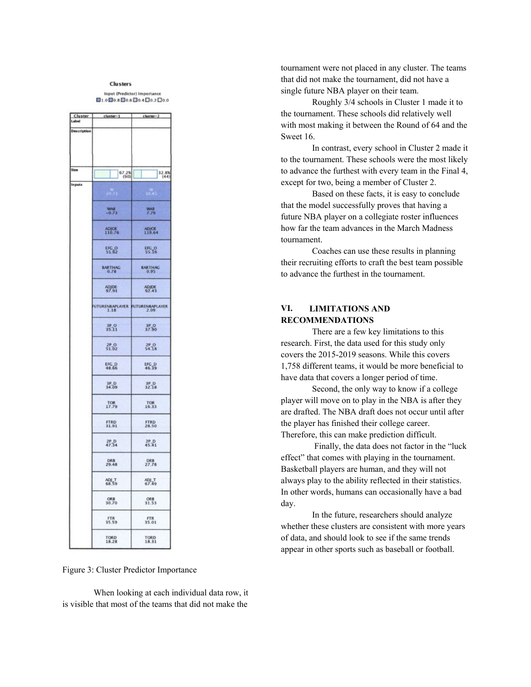#### **Clusters** Input (Predictor) Importance

|               | Cluster cluster-1       | cluster-2                     |
|---------------|-------------------------|-------------------------------|
| Description   |                         |                               |
|               |                         |                               |
|               |                         |                               |
|               |                         |                               |
| Sitz          |                         |                               |
|               | 67.2%                   | $\frac{32.8\%}{(44)}$         |
| <b>Inputs</b> |                         | ö.                            |
|               | $^{WAB}_{-0.73}$        | <b>WAR</b><br>7.76            |
|               | $ADJOE$<br>110.76       | ADJOE<br>119.64               |
|               | EFC_0<br>51.62          | EFG_O<br>55.16                |
|               | <b>BARTHAC</b>          | <b>BARTHAC</b>                |
|               | ADJDE<br>97.91          | ADJDE<br>92.43                |
|               |                         | TURENBAPLAYER FUTURENBAPLAYER |
|               | 35.11                   | 37.90                         |
|               | $^{2P}_{51.02}$         | $^{2P}_{54,18}$               |
|               | EFG_D<br>48.66          | EFC_D<br>46.39                |
|               | $3P$ D<br>$34.09$       | $3P$ D<br>$3218$              |
|               | TOR<br>17.79            | TOR<br>16.33                  |
|               | FTRD<br>31.91           | <b>FTRD</b><br>28.50          |
|               | $^{2P}$ -D <sub>4</sub> | $^{2P}_{45.41}$               |
|               | DRB<br>29.48            | DRB<br>27.78                  |
|               | ADJ_T<br>68.59          | ADJ_T<br>67.49                |
|               | ORB<br>30.70            | ORB<br>31.53                  |
|               | FTR<br>35.59            | FTR<br>35.01                  |
|               | TORD<br>18.28           | TORD<br>18.31                 |

Figure 3: Cluster Predictor Importance

When looking at each individual data row, it is visible that most of the teams that did not make the

tournament were not placed in any cluster. The teams that did not make the tournament, did not have a single future NBA player on their team.

Roughly 3/4 schools in Cluster 1 made it to the tournament. These schools did relatively well with most making it between the Round of 64 and the Sweet 16.

In contrast, every school in Cluster 2 made it to the tournament. These schools were the most likely to advance the furthest with every team in the Final 4, except for two, being a member of Cluster 2.

Based on these facts, it is easy to conclude that the model successfully proves that having a future NBA player on a collegiate roster influences how far the team advances in the March Madness tournament.

 Coaches can use these results in planning their recruiting efforts to craft the best team possible to advance the furthest in the tournament.

# **VI. LIMITATIONS AND RECOMMENDATIONS**

There are a few key limitations to this research. First, the data used for this study only covers the 2015-2019 seasons. While this covers 1,758 different teams, it would be more beneficial to have data that covers a longer period of time.

Second, the only way to know if a college player will move on to play in the NBA is after they are drafted. The NBA draft does not occur until after the player has finished their college career. Therefore, this can make prediction difficult.

Finally, the data does not factor in the "luck effect" that comes with playing in the tournament. Basketball players are human, and they will not always play to the ability reflected in their statistics. In other words, humans can occasionally have a bad day.

In the future, researchers should analyze whether these clusters are consistent with more years of data, and should look to see if the same trends appear in other sports such as baseball or football.